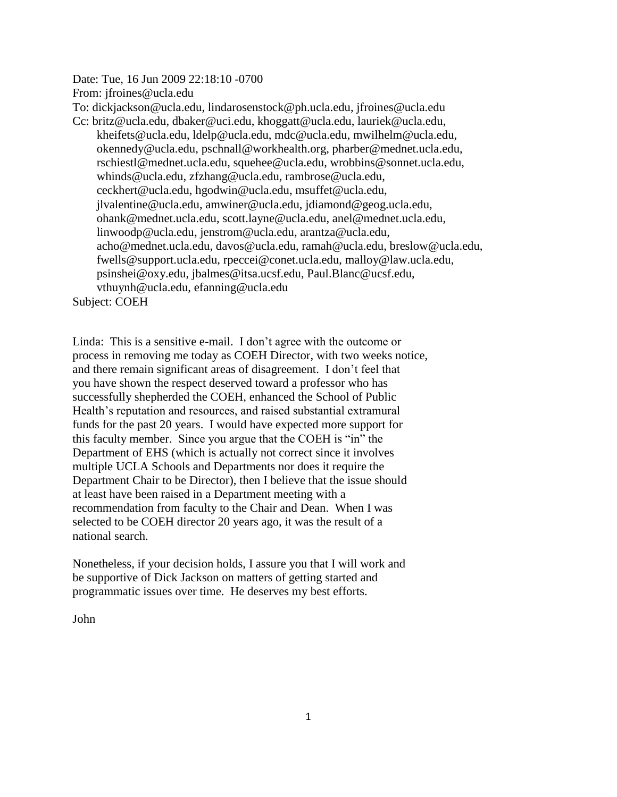Date: Tue, 16 Jun 2009 22:18:10 -0700 From: jfroines@ucla.edu To: dickjackson@ucla.edu, lindarosenstock@ph.ucla.edu, jfroines@ucla.edu Cc: britz@ucla.edu, dbaker@uci.edu, khoggatt@ucla.edu, lauriek@ucla.edu, kheifets@ucla.edu, ldelp@ucla.edu, mdc@ucla.edu, mwilhelm@ucla.edu, okennedy@ucla.edu, pschnall@workhealth.org, pharber@mednet.ucla.edu, rschiestl@mednet.ucla.edu, squehee@ucla.edu, wrobbins@sonnet.ucla.edu, whinds@ucla.edu, zfzhang@ucla.edu, rambrose@ucla.edu, ceckhert@ucla.edu, hgodwin@ucla.edu, msuffet@ucla.edu, jlvalentine@ucla.edu, amwiner@ucla.edu, jdiamond@geog.ucla.edu, ohank@mednet.ucla.edu, scott.layne@ucla.edu, anel@mednet.ucla.edu, linwoodp@ucla.edu, jenstrom@ucla.edu, arantza@ucla.edu, acho@mednet.ucla.edu, davos@ucla.edu, ramah@ucla.edu, breslow@ucla.edu, fwells@support.ucla.edu, rpeccei@conet.ucla.edu, malloy@law.ucla.edu, psinshei@oxy.edu, jbalmes@itsa.ucsf.edu, Paul.Blanc@ucsf.edu, vthuynh@ucla.edu, efanning@ucla.edu

Subject: COEH

Linda: This is a sensitive e-mail. I don't agree with the outcome or process in removing me today as COEH Director, with two weeks notice, and there remain significant areas of disagreement. I don't feel that you have shown the respect deserved toward a professor who has successfully shepherded the COEH, enhanced the School of Public Health's reputation and resources, and raised substantial extramural funds for the past 20 years. I would have expected more support for this faculty member. Since you argue that the COEH is "in" the Department of EHS (which is actually not correct since it involves multiple UCLA Schools and Departments nor does it require the Department Chair to be Director), then I believe that the issue should at least have been raised in a Department meeting with a recommendation from faculty to the Chair and Dean. When I was selected to be COEH director 20 years ago, it was the result of a national search.

Nonetheless, if your decision holds, I assure you that I will work and be supportive of Dick Jackson on matters of getting started and programmatic issues over time. He deserves my best efforts.

John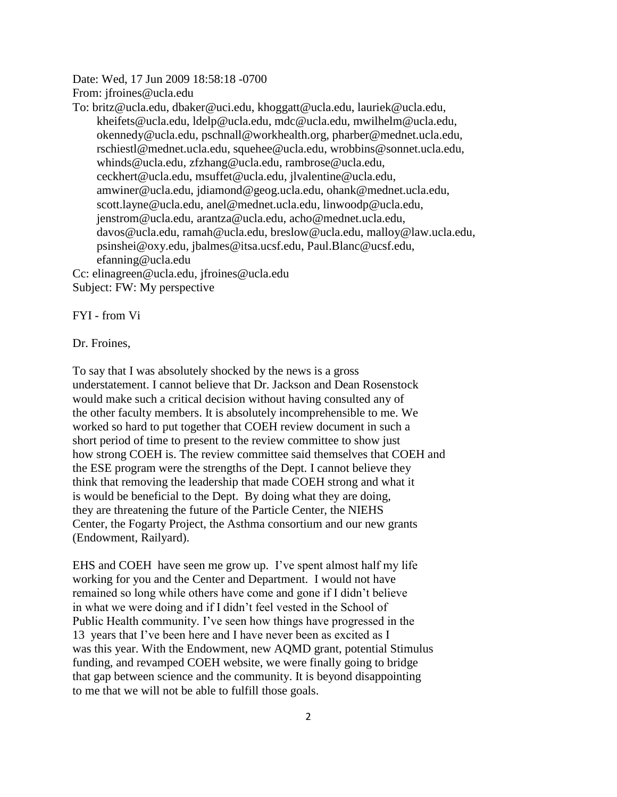Date: Wed, 17 Jun 2009 18:58:18 -0700

From: jfroines@ucla.edu

To: britz@ucla.edu, dbaker@uci.edu, khoggatt@ucla.edu, lauriek@ucla.edu, kheifets@ucla.edu, ldelp@ucla.edu, mdc@ucla.edu, mwilhelm@ucla.edu, okennedy@ucla.edu, pschnall@workhealth.org, pharber@mednet.ucla.edu, rschiestl@mednet.ucla.edu, squehee@ucla.edu, wrobbins@sonnet.ucla.edu, whinds@ucla.edu, zfzhang@ucla.edu, rambrose@ucla.edu, ceckhert@ucla.edu, msuffet@ucla.edu, jlvalentine@ucla.edu, amwiner@ucla.edu, jdiamond@geog.ucla.edu, ohank@mednet.ucla.edu, scott.layne@ucla.edu, anel@mednet.ucla.edu, linwoodp@ucla.edu, jenstrom@ucla.edu, arantza@ucla.edu, acho@mednet.ucla.edu, davos@ucla.edu, ramah@ucla.edu, breslow@ucla.edu, malloy@law.ucla.edu, psinshei@oxy.edu, jbalmes@itsa.ucsf.edu, Paul.Blanc@ucsf.edu, efanning@ucla.edu Cc: elinagreen@ucla.edu, jfroines@ucla.edu

Subject: FW: My perspective

FYI - from Vi

Dr. Froines,

To say that I was absolutely shocked by the news is a gross understatement. I cannot believe that Dr. Jackson and Dean Rosenstock would make such a critical decision without having consulted any of the other faculty members. It is absolutely incomprehensible to me. We worked so hard to put together that COEH review document in such a short period of time to present to the review committee to show just how strong COEH is. The review committee said themselves that COEH and the ESE program were the strengths of the Dept. I cannot believe they think that removing the leadership that made COEH strong and what it is would be beneficial to the Dept. By doing what they are doing, they are threatening the future of the Particle Center, the NIEHS Center, the Fogarty Project, the Asthma consortium and our new grants (Endowment, Railyard).

EHS and COEH have seen me grow up. I've spent almost half my life working for you and the Center and Department. I would not have remained so long while others have come and gone if I didn't believe in what we were doing and if I didn't feel vested in the School of Public Health community. I've seen how things have progressed in the 13 years that I've been here and I have never been as excited as I was this year. With the Endowment, new AQMD grant, potential Stimulus funding, and revamped COEH website, we were finally going to bridge that gap between science and the community. It is beyond disappointing to me that we will not be able to fulfill those goals.